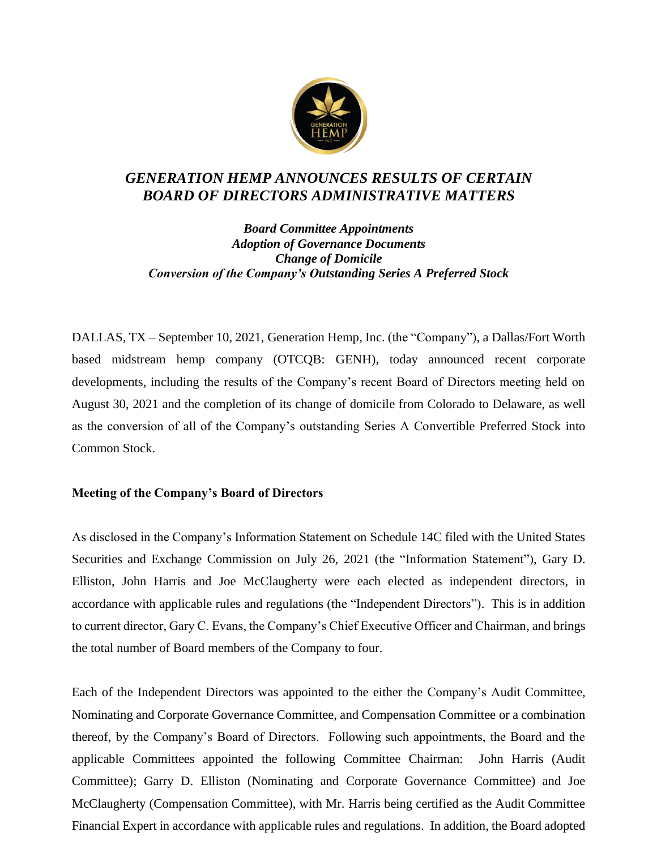

# *GENERATION HEMP ANNOUNCES RESULTS OF CERTAIN BOARD OF DIRECTORS ADMINISTRATIVE MATTERS*

*Board Committee Appointments Adoption of Governance Documents Change of Domicile Conversion of the Company's Outstanding Series A Preferred Stock*

DALLAS, TX – September 10, 2021, Generation Hemp, Inc. (the "Company"), a Dallas/Fort Worth based midstream hemp company (OTCQB: GENH), today announced recent corporate developments, including the results of the Company's recent Board of Directors meeting held on August 30, 2021 and the completion of its change of domicile from Colorado to Delaware, as well as the conversion of all of the Company's outstanding Series A Convertible Preferred Stock into Common Stock.

## **Meeting of the Company's Board of Directors**

As disclosed in the Company's Information Statement on Schedule 14C filed with the United States Securities and Exchange Commission on July 26, 2021 (the "Information Statement"), Gary D. Elliston, John Harris and Joe McClaugherty were each elected as independent directors, in accordance with applicable rules and regulations (the "Independent Directors"). This is in addition to current director, Gary C. Evans, the Company's Chief Executive Officer and Chairman, and brings the total number of Board members of the Company to four.

Each of the Independent Directors was appointed to the either the Company's Audit Committee, Nominating and Corporate Governance Committee, and Compensation Committee or a combination thereof, by the Company's Board of Directors. Following such appointments, the Board and the applicable Committees appointed the following Committee Chairman: John Harris (Audit Committee); Garry D. Elliston (Nominating and Corporate Governance Committee) and Joe McClaugherty (Compensation Committee), with Mr. Harris being certified as the Audit Committee Financial Expert in accordance with applicable rules and regulations. In addition, the Board adopted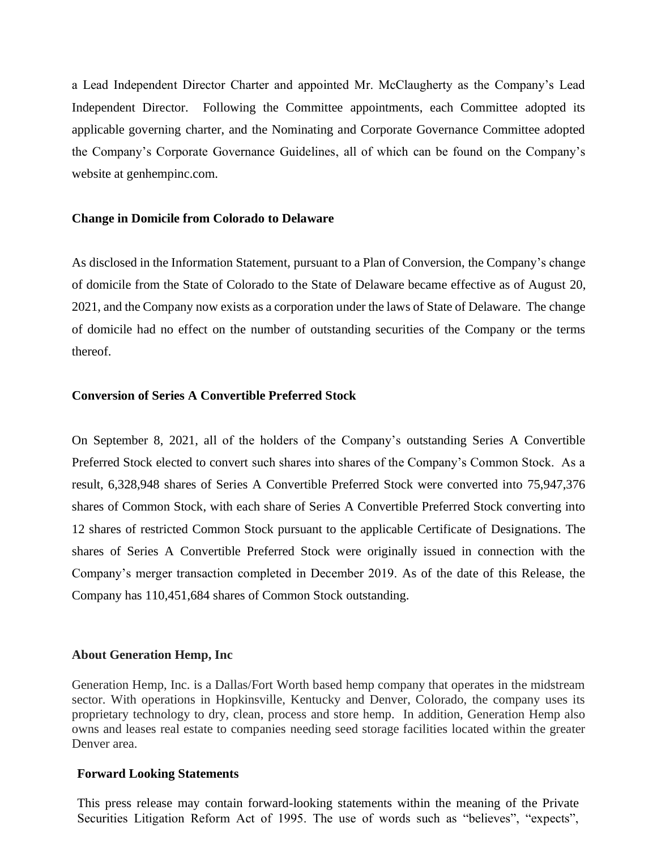a Lead Independent Director Charter and appointed Mr. McClaugherty as the Company's Lead Independent Director. Following the Committee appointments, each Committee adopted its applicable governing charter, and the Nominating and Corporate Governance Committee adopted the Company's Corporate Governance Guidelines, all of which can be found on the Company's website at genhempinc.com.

## **Change in Domicile from Colorado to Delaware**

As disclosed in the Information Statement, pursuant to a Plan of Conversion, the Company's change of domicile from the State of Colorado to the State of Delaware became effective as of August 20, 2021, and the Company now exists as a corporation under the laws of State of Delaware. The change of domicile had no effect on the number of outstanding securities of the Company or the terms thereof.

## **Conversion of Series A Convertible Preferred Stock**

On September 8, 2021, all of the holders of the Company's outstanding Series A Convertible Preferred Stock elected to convert such shares into shares of the Company's Common Stock. As a result, 6,328,948 shares of Series A Convertible Preferred Stock were converted into 75,947,376 shares of Common Stock, with each share of Series A Convertible Preferred Stock converting into 12 shares of restricted Common Stock pursuant to the applicable Certificate of Designations. The shares of Series A Convertible Preferred Stock were originally issued in connection with the Company's merger transaction completed in December 2019. As of the date of this Release, the Company has 110,451,684 shares of Common Stock outstanding.

## **About Generation Hemp, Inc**

Generation Hemp, Inc. is a Dallas/Fort Worth based hemp company that operates in the midstream sector. With operations in Hopkinsville, Kentucky and Denver, Colorado, the company uses its proprietary technology to dry, clean, process and store hemp. In addition, Generation Hemp also owns and leases real estate to companies needing seed storage facilities located within the greater Denver area.

## **Forward Looking Statements**

This press release may contain forward-looking statements within the meaning of the Private Securities Litigation Reform Act of 1995. The use of words such as "believes", "expects",